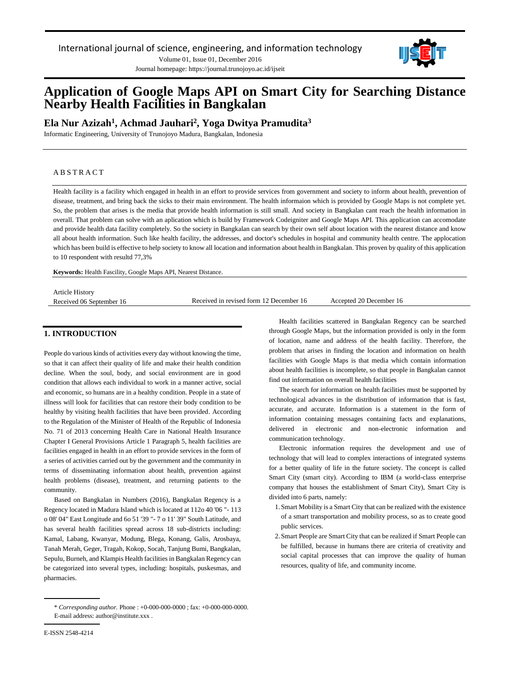

Journal homepage: https://journal.trunojoyo.ac.id/ijseit

# **Application of Google Maps API on Smart City for Searching Distance Nearby Health Facilities in Bangkalan**

# **Ela Nur Azizah<sup>1</sup> , Achmad Jauhari<sup>2</sup> , Yoga Dwitya Pramudita<sup>3</sup>**

Informatic Engineering, University of Trunojoyo Madura, Bangkalan, Indonesia

#### **ABSTRACT**

Health facility is a facility which engaged in health in an effort to provide services from government and society to inform about health, prevention of disease, treatment, and bring back the sicks to their main environment. The health informaion which is provided by Google Maps is not complete yet. So, the problem that arises is the media that provide health information is still small. And society in Bangkalan cant reach the health information in overall. That problem can solve with an aplication which is build by Framework Codeigniter and Google Maps API. This application can accomodate and provide health data facility completely. So the society in Bangkalan can search by their own self about location with the nearest distance and know all about health information. Such like health facility, the addresses, and doctor's schedules in hospital and community health centre. The applocation which has been build is effective to help society to know all location and information about health in Bangkalan. This proven by quality of this application to 10 respondent with resultd 77,3%

**Keywords:** Health Fascility, Google Maps API, Nearest Distance.

Article History

Received 06 September 16 Received in revised form 12 December 16 Accepted 20 December 16

Health facilities scattered in Bangkalan Regency can be searched through Google Maps, but the information provided is only in the form of location, name and address of the health facility. Therefore, the problem that arises in finding the location and information on health facilities with Google Maps is that media which contain information about health facilities is incomplete, so that people in Bangkalan cannot

The search for information on health facilities must be supported by technological advances in the distribution of information that is fast, accurate, and accurate. Information is a statement in the form of information containing messages containing facts and explanations, delivered in electronic and non-electronic information and

Electronic information requires the development and use of technology that will lead to complex interactions of integrated systems for a better quality of life in the future society. The concept is called

find out information on overall health facilities

### **1. INTRODUCTION**

People do various kinds of activities every day without knowing the time, so that it can affect their quality of life and make their health condition decline. When the soul, body, and social environment are in good condition that allows each individual to work in a manner active, social and economic, so humans are in a healthy condition. People in a state of illness will look for facilities that can restore their body condition to be healthy by visiting health facilities that have been provided. According to the Regulation of the Minister of Health of the Republic of Indonesia No. 71 of 2013 concerning Health Care in National Health Insurance Chapter I General Provisions Article 1 Paragraph 5, health facilities are facilities engaged in health in an effort to provide services in the form of a series of activities carried out by the government and the community in terms of disseminating information about health, prevention against health problems (disease), treatment, and returning patients to the community.

Based on Bangkalan in Numbers (2016), Bangkalan Regency is a Regency located in Madura Island which is located at 112o 40 '06 "- 113 o 08' 04" East Longitude and 6o 51 '39 "- 7 o 11' 39" South Latitude, and has several health facilities spread across 18 sub-districts including: Kamal, Labang, Kwanyar, Modung, Blega, Konang, Galis, Arosbaya, Tanah Merah, Geger, Tragah, Kokop, Socah, Tanjung Bumi, Bangkalan, Sepulu, Burneh, and Klampis Health facilities in Bangkalan Regency can be categorized into several types, including: hospitals, puskesmas, and pharmacies.

Smart City (smart city). According to IBM (a world-class enterprise company that houses the establishment of Smart City), Smart City is divided into 6 parts, namely: 1.Smart Mobility is a Smart City that can be realized with the existence of a smart transportation and mobility process, so as to create good

public services.

communication technology.

2.Smart People are Smart City that can be realized if Smart People can be fulfilled, because in humans there are criteria of creativity and social capital processes that can improve the quality of human resources, quality of life, and community income.

<sup>\*</sup> *Corresponding author.* Phone : +0-000-000-0000 ; fax: +0-000-000-0000. E-mail address: author@institute.xxx .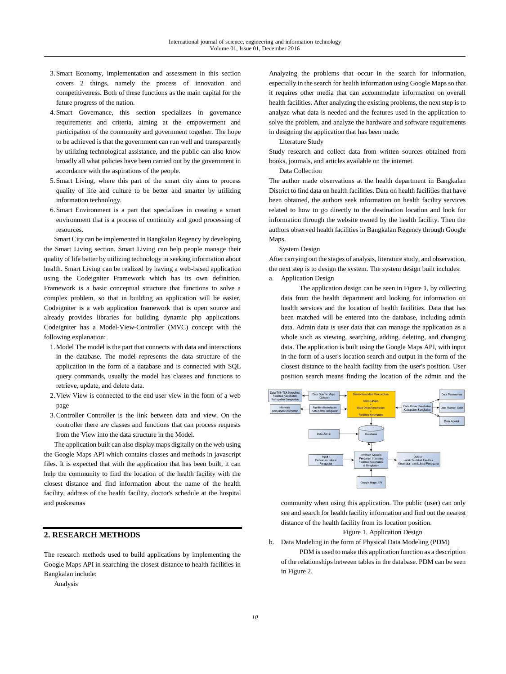- 3.Smart Economy, implementation and assessment in this section covers 2 things, namely the process of innovation and competitiveness. Both of these functions as the main capital for the future progress of the nation.
- 4.Smart Governance, this section specializes in governance requirements and criteria, aiming at the empowerment and participation of the community and government together. The hope to be achieved is that the government can run well and transparently by utilizing technological assistance, and the public can also know broadly all what policies have been carried out by the government in accordance with the aspirations of the people.
- 5.Smart Living, where this part of the smart city aims to process quality of life and culture to be better and smarter by utilizing information technology.
- 6.Smart Environment is a part that specializes in creating a smart environment that is a process of continuity and good processing of resources.

Smart City can be implemented in Bangkalan Regency by developing the Smart Living section. Smart Living can help people manage their quality of life better by utilizing technology in seeking information about health. Smart Living can be realized by having a web-based application using the Codeigniter Framework which has its own definition. Framework is a basic conceptual structure that functions to solve a complex problem, so that in building an application will be easier. Codeigniter is a web application framework that is open source and already provides libraries for building dynamic php applications. Codeigniter has a Model-View-Controller (MVC) concept with the following explanation:

- 1.Model The model is the part that connects with data and interactions in the database. The model represents the data structure of the application in the form of a database and is connected with SQL query commands, usually the model has classes and functions to retrieve, update, and delete data.
- 2.View View is connected to the end user view in the form of a web page
- 3.Controller Controller is the link between data and view. On the controller there are classes and functions that can process requests from the View into the data structure in the Model.

The application built can also display maps digitally on the web using the Google Maps API which contains classes and methods in javascript files. It is expected that with the application that has been built, it can help the community to find the location of the health facility with the closest distance and find information about the name of the health facility, address of the health facility, doctor's schedule at the hospital and puskesmas

# **2. RESEARCH METHODS**

The research methods used to build applications by implementing the Google Maps API in searching the closest distance to health facilities in Bangkalan include:

Analysis

Analyzing the problems that occur in the search for information, especially in the search for health information using Google Maps so that it requires other media that can accommodate information on overall health facilities. After analyzing the existing problems, the next step is to analyze what data is needed and the features used in the application to solve the problem, and analyze the hardware and software requirements in designing the application that has been made.

#### Literature Study

Study research and collect data from written sources obtained from books, journals, and articles available on the internet.

#### Data Collection

The author made observations at the health department in Bangkalan District to find data on health facilities. Data on health facilities that have been obtained, the authors seek information on health facility services related to how to go directly to the destination location and look for information through the website owned by the health facility. Then the authors observed health facilities in Bangkalan Regency through Google Maps.

System Design

After carrying out the stages of analysis, literature study, and observation, the next step is to design the system. The system design built includes: a. Application Design

The application design can be seen in Figure 1, by collecting data from the health department and looking for information on health services and the location of health facilities. Data that has been matched will be entered into the database, including admin data. Admin data is user data that can manage the application as a whole such as viewing, searching, adding, deleting, and changing data. The application is built using the Google Maps API, with input in the form of a user's location search and output in the form of the closest distance to the health facility from the user's position. User position search means finding the location of the admin and the



community when using this application. The public (user) can only see and search for health facility information and find out the nearest distance of the health facility from its location position.

Figure 1. Application Design

- b. Data Modeling in the form of Physical Data Modeling (PDM)
	- PDM is used to make this application function as a description of the relationships between tables in the database. PDM can be seen in Figure 2.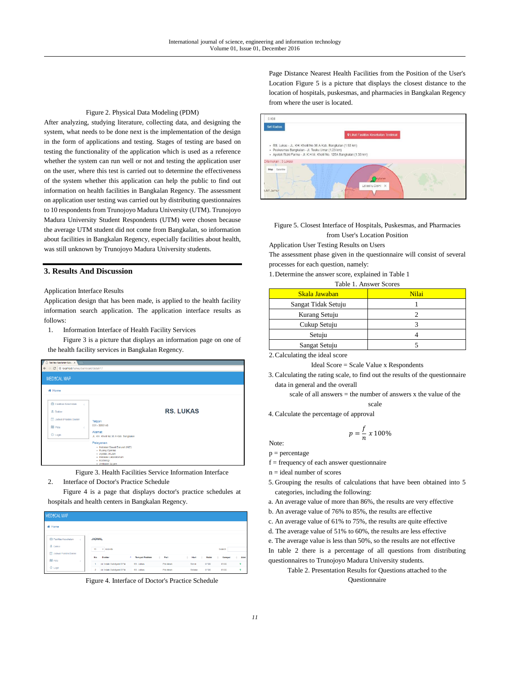#### Figure 2. Physical Data Modeling (PDM)

After analyzing, studying literature, collecting data, and designing the system, what needs to be done next is the implementation of the design in the form of applications and testing. Stages of testing are based on testing the functionality of the application which is used as a reference whether the system can run well or not and testing the application user on the user, where this test is carried out to determine the effectiveness of the system whether this application can help the public to find out information on health facilities in Bangkalan Regency. The assessment on application user testing was carried out by distributing questionnaires to 10 respondents from Trunojoyo Madura University (UTM). Trunojoyo Madura University Student Respondents (UTM) were chosen because the average UTM student did not come from Bangkalan, so information about facilities in Bangkalan Regency, especially facilities about health, was still unknown by Trunojoyo Madura University students.

#### **3. Results And Discussion**

Application Interface Results

Application design that has been made, is applied to the health facility information search application. The application interface results as follows:

1. Information Interface of Health Facility Services

Figure 3 is a picture that displays an information page on one of the health facility services in Bangkalan Regency.

| Fasilitas Kesehatan Kabuj X<br>n               |                                                 |                  |  |  |  |
|------------------------------------------------|-------------------------------------------------|------------------|--|--|--|
| ← → C + O localhost/faskes/dashboard/detail/17 |                                                 |                  |  |  |  |
| MEDICAL MAP                                    |                                                 |                  |  |  |  |
| # Home                                         |                                                 |                  |  |  |  |
| <b>ICI</b> Fasiltas Kesehatan                  |                                                 |                  |  |  |  |
| <b>A</b> Dokter                                |                                                 | <b>RS. LUKAS</b> |  |  |  |
| Jadwal Praktek Dokter                          | Telpon                                          |                  |  |  |  |
| <b>III</b> Peta                                | 031 - 3095148                                   |                  |  |  |  |
| <b>む Login</b>                                 | Alamat<br>JL. KH. Kholil No.36 A Kab. Bangkalan |                  |  |  |  |
|                                                | Pelayanan<br>· Instalasi Gawat Darurat (IGD)    |                  |  |  |  |
|                                                | - Ruang Operasi<br>- Apotek 24 Jam              |                  |  |  |  |
|                                                | · Instalasi Laboratorium<br>· Radiologi         |                  |  |  |  |
|                                                | · Ambulan 24 jam                                |                  |  |  |  |

Figure 3. Health Facilities Service Information Interface

2. Interface of Doctor's Practice Schedule

Figure 4 is a page that displays doctor's practice schedules at hospitals and health centers in Bangkalan Regency.

| <b>MEDICAL MAP</b>                                      |                                                        |                   |                         |                                         |
|---------------------------------------------------------|--------------------------------------------------------|-------------------|-------------------------|-----------------------------------------|
| # Home                                                  |                                                        |                   |                         |                                         |
| <b>ICI Fasiltas Kesehatan</b><br>$\sigma$               | <b>JADWAL</b>                                          |                   |                         |                                         |
| <b>B</b> Dokter                                         | 10<br>* records                                        |                   |                         | Search:                                 |
| <b>Colladwal Praktek Dokter</b><br><b>III</b> Peta<br>× | <b>Tempat Praktek</b><br>٠<br>Dokter<br>No             | $\hat{m}$<br>Poli | ÷<br>Hari<br>Mulai<br>÷ | $\stackrel{.}{=}$<br>Aks<br>Sampai<br>÷ |
| <b>D</b> Login                                          | dr. Indah Sulishani SP.A.<br>RS, Lukas                 | Poli Anak         | 07:00<br>Senin          | $\circ$<br>09:00                        |
|                                                         | $\overline{2}$<br>dr. Indah Sulstvani SPA<br>RS. Lukas | Poli Anak         | Sciasa<br>07:00         | ۰<br>09:00                              |

Figure 4. Interface of Doctor's Practice Schedule

Page Distance Nearest Health Facilities from the Position of the User's Location Figure 5 is a picture that displays the closest distance to the location of hospitals, puskesmas, and pharmacies in Bangkalan Regency from where the user is located.



Figure 5. Closest Interface of Hospitals, Puskesmas, and Pharmacies from User's Location Position

Application User Testing Results on Users

The assessment phase given in the questionnaire will consist of several processes for each question, namely:

1.Determine the answer score, explained in Table 1

Table 1. Answer Scores

| Skala Jawaban       | Nilai |
|---------------------|-------|
| Sangat Tidak Setuju |       |
| Kurang Setuju       |       |
| Cukup Setuju        |       |
| Setuju              |       |
| Sangat Setuju       |       |

2.Calculating the ideal score

```
Ideal Score = Scale Value x Respondents
```
3. Calculating the rating scale, to find out the results of the questionnaire data in general and the overall

scale of all answers  $=$  the number of answers x the value of the scale

 $\frac{2}{n} \times 100\%$ 

4. Calculate the percentage of approval

Note:

- $p = percentage$
- $f = frequency of each answer questionnaire$
- n = ideal number of scores
- 5. Grouping the results of calculations that have been obtained into 5 categories, including the following:
- a. An average value of more than 86%, the results are very effective

 $p=\frac{f}{a}$ 

- b. An average value of 76% to 85%, the results are effective
- c. An average value of 61% to 75%, the results are quite effective
- d. The average value of 51% to 60%, the results are less effective

e. The average value is less than 50%, so the results are not effective In table 2 there is a percentage of all questions from distributing questionnaires to Trunojoyo Madura University students.

Table 2. Presentation Results for Questions attached to the Questionnaire